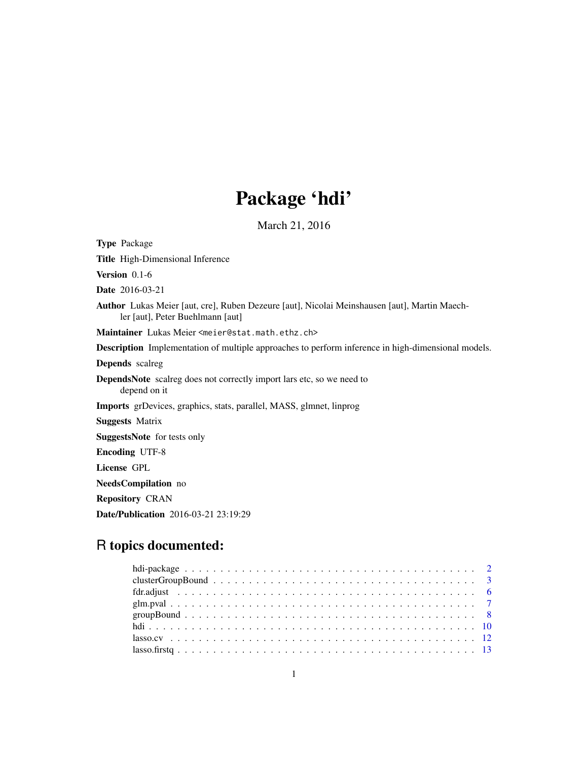## Package 'hdi'

March 21, 2016

<span id="page-0-0"></span>Type Package Title High-Dimensional Inference Version 0.1-6 Date 2016-03-21 Author Lukas Meier [aut, cre], Ruben Dezeure [aut], Nicolai Meinshausen [aut], Martin Maechler [aut], Peter Buehlmann [aut] Maintainer Lukas Meier <meier@stat.math.ethz.ch> Description Implementation of multiple approaches to perform inference in high-dimensional models. Depends scalreg DependsNote scalreg does not correctly import lars etc, so we need to depend on it Imports grDevices, graphics, stats, parallel, MASS, glmnet, linprog Suggests Matrix SuggestsNote for tests only Encoding UTF-8 License GPL NeedsCompilation no Repository CRAN

Date/Publication 2016-03-21 23:19:29

## R topics documented:

| $lasso.firstq 13$ |  |
|-------------------|--|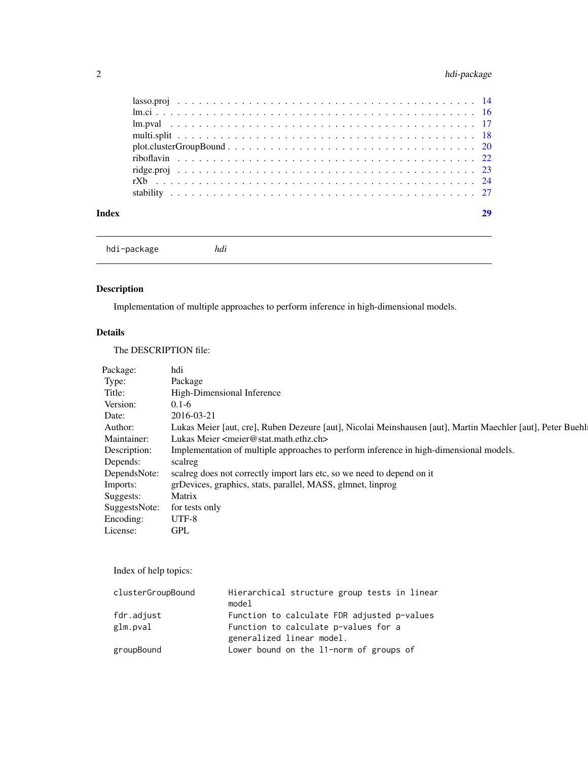## <span id="page-1-0"></span>2 hdi-package

| Index | 29 |
|-------|----|
|       |    |
|       |    |
|       |    |
|       |    |
|       |    |
|       |    |
|       |    |
|       |    |
|       |    |

hdi-package *hdi*

## Description

Implementation of multiple approaches to perform inference in high-dimensional models.

## Details

The DESCRIPTION file:

| Package:      | hdi                                                                                                        |
|---------------|------------------------------------------------------------------------------------------------------------|
| Type:         | Package                                                                                                    |
| Title:        | High-Dimensional Inference                                                                                 |
| Version:      | $0.1 - 6$                                                                                                  |
| Date:         | 2016-03-21                                                                                                 |
| Author:       | Lukas Meier [aut, cre], Ruben Dezeure [aut], Nicolai Meinshausen [aut], Martin Maechler [aut], Peter Buehl |
| Maintainer:   | Lukas Meier $\leq$ meier@stat.math.ethz.ch>                                                                |
| Description:  | Implementation of multiple approaches to perform inference in high-dimensional models.                     |
| Depends:      | scalreg                                                                                                    |
| DependsNote:  | scaling does not correctly import lars etc, so we need to depend on it                                     |
| Imports:      | grDevices, graphics, stats, parallel, MASS, glmnet, linprog                                                |
| Suggests:     | Matrix                                                                                                     |
| SuggestsNote: | for tests only                                                                                             |
| Encoding:     | UTF-8                                                                                                      |
| License:      | <b>GPL</b>                                                                                                 |
|               |                                                                                                            |

Index of help topics:

| clusterGroupBound | Hierarchical structure group tests in linear<br>model |
|-------------------|-------------------------------------------------------|
| fdr.adjust        | Function to calculate FDR adjusted p-values           |
| glm.pval          | Function to calculate p-values for a                  |
|                   | generalized linear model.                             |
| groupBound        | Lower bound on the 11-norm of groups of               |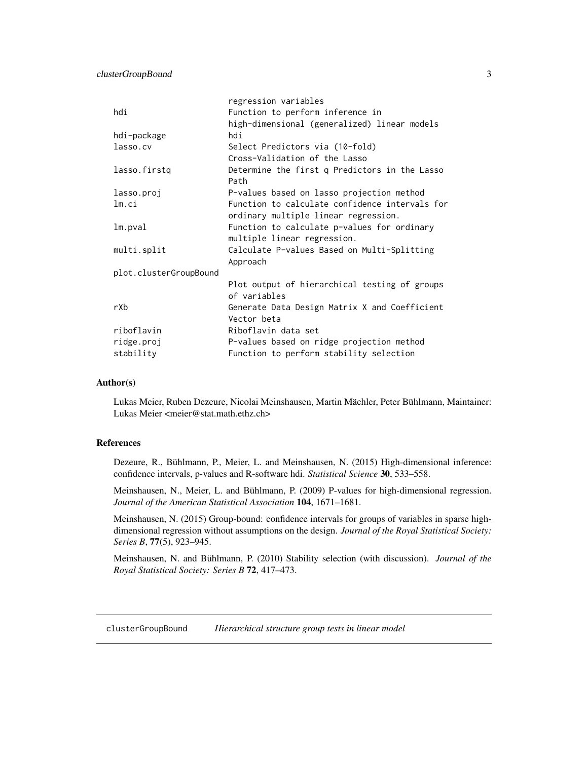<span id="page-2-0"></span>

|                        | regression variables                           |
|------------------------|------------------------------------------------|
| hdi                    | Function to perform inference in               |
|                        | high-dimensional (generalized) linear models   |
| hdi-package            | hdi                                            |
| lasso.cv               | Select Predictors via (10-fold)                |
|                        | Cross-Validation of the Lasso                  |
| lasso.firstq           | Determine the first q Predictors in the Lasso  |
|                        | Path                                           |
| lasso.proj             | P-values based on lasso projection method      |
| lm.ci                  | Function to calculate confidence intervals for |
|                        | ordinary multiple linear regression.           |
| lm.pval                | Function to calculate p-values for ordinary    |
|                        | multiple linear regression.                    |
| multi.split            | Calculate P-values Based on Multi-Splitting    |
|                        | Approach                                       |
| plot.clusterGroupBound |                                                |
|                        | Plot output of hierarchical testing of groups  |
|                        | of variables                                   |
| rXb                    | Generate Data Design Matrix X and Coefficient  |
|                        | Vector beta                                    |
| riboflavin             | Riboflavin data set                            |
| ridge.proj             | P-values based on ridge projection method      |
| stability              | Function to perform stability selection        |

#### Author(s)

Lukas Meier, Ruben Dezeure, Nicolai Meinshausen, Martin Mächler, Peter Bühlmann, Maintainer: Lukas Meier <meier@stat.math.ethz.ch>

## References

Dezeure, R., Bühlmann, P., Meier, L. and Meinshausen, N. (2015) High-dimensional inference: confidence intervals, p-values and R-software hdi. *Statistical Science* 30, 533–558.

Meinshausen, N., Meier, L. and Bühlmann, P. (2009) P-values for high-dimensional regression. *Journal of the American Statistical Association* 104, 1671–1681.

Meinshausen, N. (2015) Group-bound: confidence intervals for groups of variables in sparse highdimensional regression without assumptions on the design. *Journal of the Royal Statistical Society: Series B*, 77(5), 923–945.

Meinshausen, N. and Bühlmann, P. (2010) Stability selection (with discussion). *Journal of the Royal Statistical Society: Series B* 72, 417–473.

<span id="page-2-1"></span>clusterGroupBound *Hierarchical structure group tests in linear model*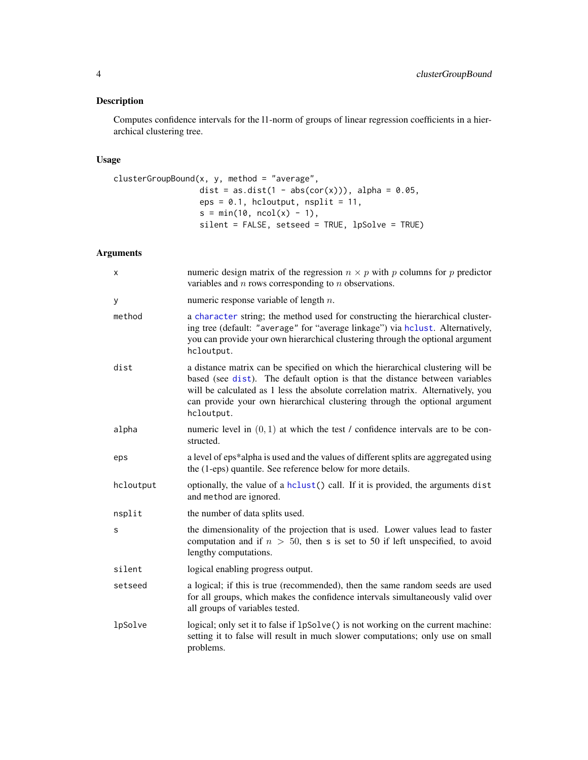## <span id="page-3-0"></span>Description

Computes confidence intervals for the l1-norm of groups of linear regression coefficients in a hierarchical clustering tree.

## Usage

```
clusterGroupBound(x, y, method = "average",
                 dist = as.dist(1 - abs(cor(x))), alpha = 0.05,
                 eps = 0.1, hcloutput, nsplit = 11,
                 s = min(10, ncol(x) - 1),silent = FALSE, setseed = TRUE, lpSolve = TRUE)
```
## Arguments

| X         | numeric design matrix of the regression $n \times p$ with p columns for p predictor<br>variables and $n$ rows corresponding to $n$ observations.                                                                                                                                                                                               |
|-----------|------------------------------------------------------------------------------------------------------------------------------------------------------------------------------------------------------------------------------------------------------------------------------------------------------------------------------------------------|
| У         | numeric response variable of length $n$ .                                                                                                                                                                                                                                                                                                      |
| method    | a character string; the method used for constructing the hierarchical cluster-<br>ing tree (default: "average" for "average linkage") via hclust. Alternatively,<br>you can provide your own hierarchical clustering through the optional argument<br>hcloutput.                                                                               |
| dist      | a distance matrix can be specified on which the hierarchical clustering will be<br>based (see dist). The default option is that the distance between variables<br>will be calculated as 1 less the absolute correlation matrix. Alternatively, you<br>can provide your own hierarchical clustering through the optional argument<br>hcloutput. |
| alpha     | numeric level in $(0, 1)$ at which the test / confidence intervals are to be con-<br>structed.                                                                                                                                                                                                                                                 |
| eps       | a level of eps*alpha is used and the values of different splits are aggregated using<br>the (1-eps) quantile. See reference below for more details.                                                                                                                                                                                            |
| hcloutput | optionally, the value of a hclust () call. If it is provided, the arguments dist<br>and method are ignored.                                                                                                                                                                                                                                    |
| nsplit    | the number of data splits used.                                                                                                                                                                                                                                                                                                                |
| S         | the dimensionality of the projection that is used. Lower values lead to faster<br>computation and if $n > 50$ , then s is set to 50 if left unspecified, to avoid<br>lengthy computations.                                                                                                                                                     |
| silent    | logical enabling progress output.                                                                                                                                                                                                                                                                                                              |
| setseed   | a logical; if this is true (recommended), then the same random seeds are used<br>for all groups, which makes the confidence intervals simultaneously valid over<br>all groups of variables tested.                                                                                                                                             |
| lpSolve   | logical; only set it to false if 1pSolve() is not working on the current machine:<br>setting it to false will result in much slower computations; only use on small<br>problems.                                                                                                                                                               |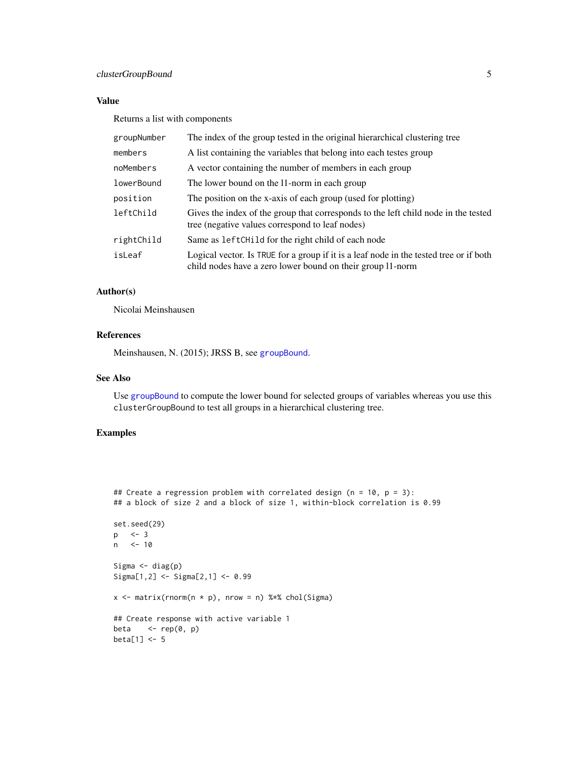## <span id="page-4-0"></span>clusterGroupBound 5

## Value

Returns a list with components

| groupNumber | The index of the group tested in the original hierarchical clustering tree                                                                           |
|-------------|------------------------------------------------------------------------------------------------------------------------------------------------------|
| members     | A list containing the variables that belong into each testes group                                                                                   |
| noMembers   | A vector containing the number of members in each group                                                                                              |
| lowerBound  | The lower bound on the 11-norm in each group                                                                                                         |
| position    | The position on the x-axis of each group (used for plotting)                                                                                         |
| leftChild   | Gives the index of the group that corresponds to the left child node in the tested<br>tree (negative values correspond to leaf nodes)                |
| rightChild  | Same as left Child for the right child of each node                                                                                                  |
| isLeaf      | Logical vector. Is TRUE for a group if it is a leaf node in the tested tree or if both<br>child nodes have a zero lower bound on their group 11-norm |

## Author(s)

Nicolai Meinshausen

## References

Meinshausen, N. (2015); JRSS B, see [groupBound](#page-7-1).

## See Also

Use [groupBound](#page-7-1) to compute the lower bound for selected groups of variables whereas you use this clusterGroupBound to test all groups in a hierarchical clustering tree.

```
## Create a regression problem with correlated design (n = 10, p = 3):
## a block of size 2 and a block of size 1, within-block correlation is 0.99
set.seed(29)
p <- 3
n <- 10
Sigma \leftarrow diag(p)
Sigma[1,2] <- Sigma[2,1] <- 0.99
x \le matrix(rnorm(n * p), nrow = n) %*% chol(Sigma)
## Create response with active variable 1
beta \leq rep(0, p)
beta[1] <- 5
```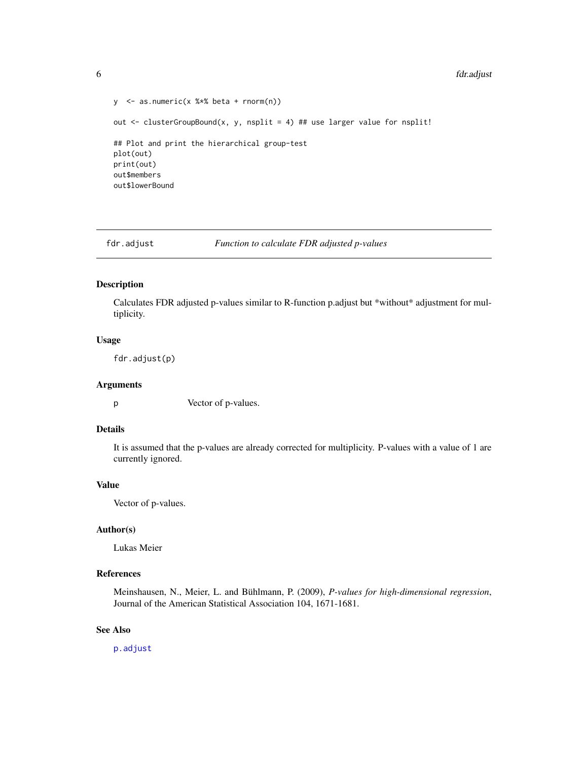```
6 fdr.adjust
```

```
y <- as.numeric(x %*% beta + rnorm(n))
out \le clusterGroupBound(x, y, nsplit = 4) ## use larger value for nsplit!
## Plot and print the hierarchical group-test
plot(out)
print(out)
out$members
out$lowerBound
```
fdr.adjust *Function to calculate FDR adjusted p-values*

## Description

Calculates FDR adjusted p-values similar to R-function p.adjust but \*without\* adjustment for multiplicity.

#### Usage

fdr.adjust(p)

### Arguments

p Vector of p-values.

## Details

It is assumed that the p-values are already corrected for multiplicity. P-values with a value of 1 are currently ignored.

## Value

Vector of p-values.

#### Author(s)

Lukas Meier

## References

Meinshausen, N., Meier, L. and Bühlmann, P. (2009), *P-values for high-dimensional regression*, Journal of the American Statistical Association 104, 1671-1681.

#### See Also

[p.adjust](#page-0-0)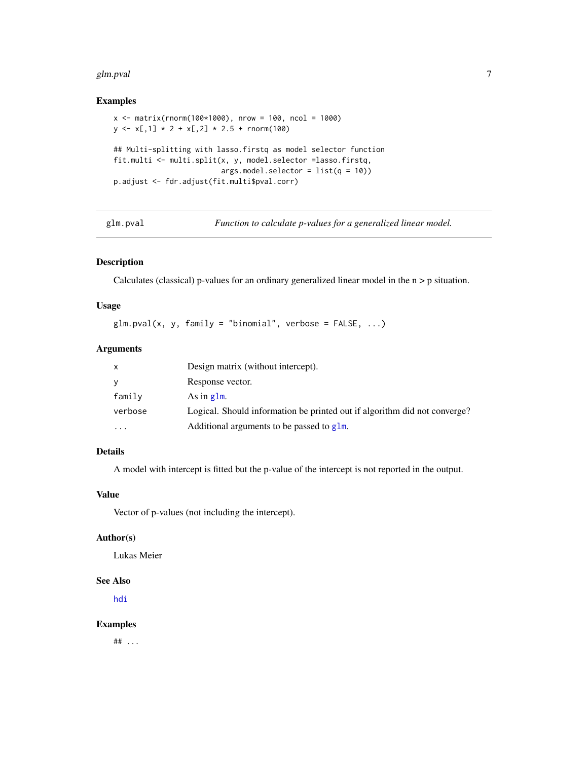#### <span id="page-6-0"></span>glm.pval and the state of the state of the state of the state of the state of the state of the state of the state of the state of the state of the state of the state of the state of the state of the state of the state of t

## Examples

```
x <- matrix(rnorm(100*1000), nrow = 100, ncol = 1000)
y \leftarrow x[, 1] * 2 + x[, 2] * 2.5 + \text{norm}(100)## Multi-splitting with lasso.firstq as model selector function
fit.multi <- multi.split(x, y, model.selector =lasso.firstq,
                          args.model.selector = <math>list(q = 10)p.adjust <- fdr.adjust(fit.multi$pval.corr)
```
glm.pval *Function to calculate p-values for a generalized linear model.*

## Description

Calculates (classical) p-values for an ordinary generalized linear model in the n > p situation.

## Usage

```
glm.pval(x, y, family = "binomial", verbose = FALSE, ...)
```
#### Arguments

| x         | Design matrix (without intercept).                                        |
|-----------|---------------------------------------------------------------------------|
| V         | Response vector.                                                          |
| family    | As in $g \, \text{Im}$ .                                                  |
| verbose   | Logical. Should information be printed out if algorithm did not converge? |
| $\ddotsc$ | Additional arguments to be passed to $g1m$ .                              |

## Details

A model with intercept is fitted but the p-value of the intercept is not reported in the output.

## Value

Vector of p-values (not including the intercept).

#### Author(s)

Lukas Meier

#### See Also

[hdi](#page-9-1)

## Examples

 $##$  ...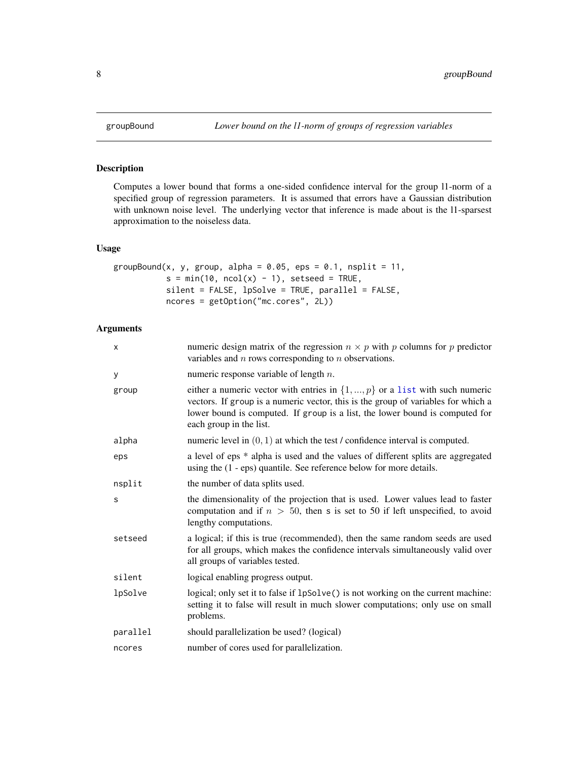<span id="page-7-1"></span><span id="page-7-0"></span>

## Description

Computes a lower bound that forms a one-sided confidence interval for the group l1-norm of a specified group of regression parameters. It is assumed that errors have a Gaussian distribution with unknown noise level. The underlying vector that inference is made about is the l1-sparsest approximation to the noiseless data.

## Usage

```
groupBound(x, y, group, alpha = 0.05, eps = 0.1, nsplit = 11,
           s = min(10, ncol(x) - 1), setseed = TRUE,silent = FALSE, lpSolve = TRUE, parallel = FALSE,
          ncores = getOption("mc.cores", 2L))
```
## Arguments

| X        | numeric design matrix of the regression $n \times p$ with p columns for p predictor<br>variables and $n$ rows corresponding to $n$ observations.                                                                                                                                 |
|----------|----------------------------------------------------------------------------------------------------------------------------------------------------------------------------------------------------------------------------------------------------------------------------------|
| У        | numeric response variable of length $n$ .                                                                                                                                                                                                                                        |
| group    | either a numeric vector with entries in $\{1, , p\}$ or a list with such numeric<br>vectors. If group is a numeric vector, this is the group of variables for which a<br>lower bound is computed. If group is a list, the lower bound is computed for<br>each group in the list. |
| alpha    | numeric level in $(0, 1)$ at which the test / confidence interval is computed.                                                                                                                                                                                                   |
| eps      | a level of eps * alpha is used and the values of different splits are aggregated<br>using the $(1 - eps)$ quantile. See reference below for more details.                                                                                                                        |
| nsplit   | the number of data splits used.                                                                                                                                                                                                                                                  |
| S        | the dimensionality of the projection that is used. Lower values lead to faster<br>computation and if $n > 50$ , then s is set to 50 if left unspecified, to avoid<br>lengthy computations.                                                                                       |
| setseed  | a logical; if this is true (recommended), then the same random seeds are used<br>for all groups, which makes the confidence intervals simultaneously valid over<br>all groups of variables tested.                                                                               |
| silent   | logical enabling progress output.                                                                                                                                                                                                                                                |
| lpSolve  | logical; only set it to false if 1pSolve() is not working on the current machine:<br>setting it to false will result in much slower computations; only use on small<br>problems.                                                                                                 |
| parallel | should parallelization be used? (logical)                                                                                                                                                                                                                                        |
| ncores   | number of cores used for parallelization.                                                                                                                                                                                                                                        |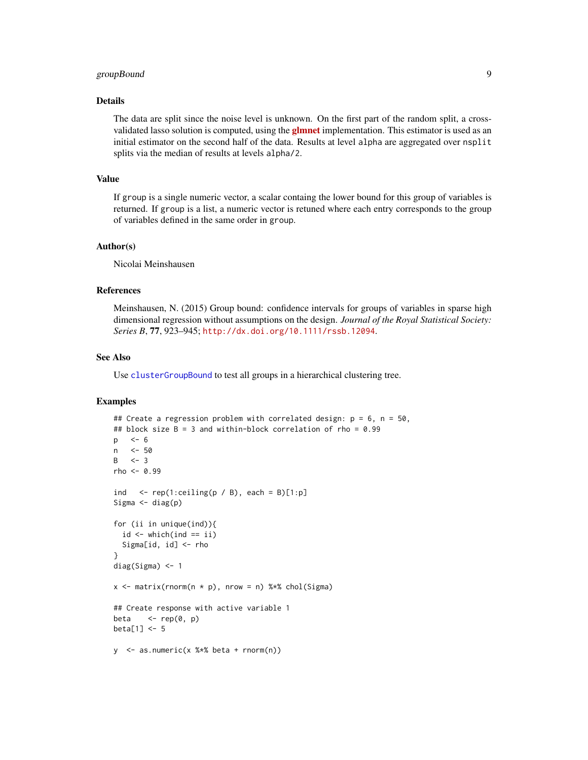## <span id="page-8-0"></span>groupBound 9

### Details

The data are split since the noise level is unknown. On the first part of the random split, a crossvalidated lasso solution is computed, using the **[glmnet](http://CRAN.R-project.org/package=glmnet)** implementation. This estimator is used as an initial estimator on the second half of the data. Results at level alpha are aggregated over nsplit splits via the median of results at levels alpha/2.

## Value

If group is a single numeric vector, a scalar containg the lower bound for this group of variables is returned. If group is a list, a numeric vector is retuned where each entry corresponds to the group of variables defined in the same order in group.

#### Author(s)

Nicolai Meinshausen

#### References

Meinshausen, N. (2015) Group bound: confidence intervals for groups of variables in sparse high dimensional regression without assumptions on the design. *Journal of the Royal Statistical Society: Series B*, 77, 923–945; <http://dx.doi.org/10.1111/rssb.12094>.

#### See Also

Use [clusterGroupBound](#page-2-1) to test all groups in a hierarchical clustering tree.

```
## Create a regression problem with correlated design: p = 6, n = 50,
## block size B = 3 and within-block correlation of rho = 0.99
p <- 6
n <- 50
B \leq -3rho < -0.99ind \leq rep(1:ceiling(p / B), each = B)[1:p]
Sigma \leftarrow diag(p)
for (ii in unique(ind)){
  id \leftarrow which(ind == ii)
  Sigma[id, id] <- rho
}
diag(Sigma) <- 1
x \le matrix(rnorm(n * p), nrow = n) %*% chol(Sigma)
## Create response with active variable 1
beta \leq- rep(0, p)
beta[1] <- 5
y <- as.numeric(x %*% beta + rnorm(n))
```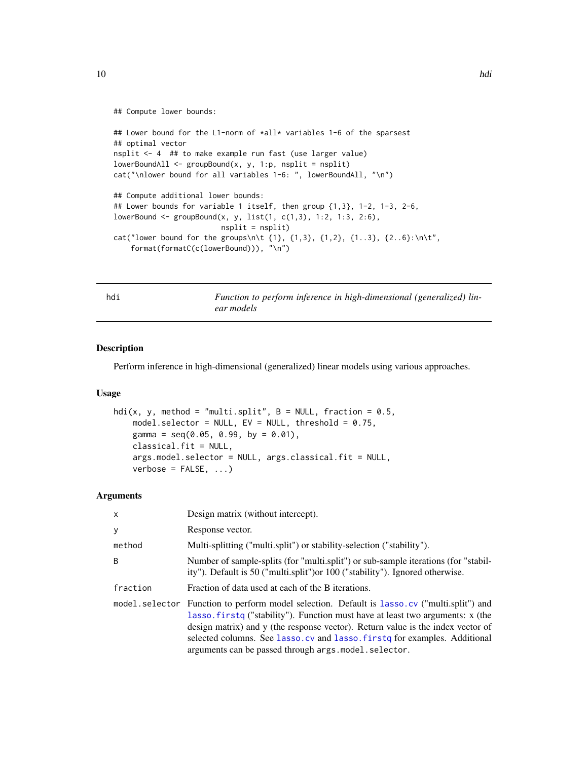#### <span id="page-9-0"></span>## Compute lower bounds:

```
## Lower bound for the L1-norm of *all* variables 1-6 of the sparsest
## optimal vector
nsplit <- 4 ## to make example run fast (use larger value)
lowerBoundAll \leq groupBound(x, y, 1:p, nsplit = nsplit)
cat("\nlower bound for all variables 1-6: ", lowerBoundAll, "\n")
## Compute additional lower bounds:
## Lower bounds for variable 1 itself, then group {1,3}, 1-2, 1-3, 2-6,
lowerBound <- groupBound(x, y, list(1, c(1,3), 1:2, 1:3, 2:6),
                         nsplit = nsplit)cat("lower bound for the groups\n\h\{1\}, \{1,3\}, \{1,2\}, \{1..3\}, \{2..6\}:\n\h\text{'}format(formatC(c(lowerBound))), "\n")
```
<span id="page-9-1"></span>hdi *Function to perform inference in high-dimensional (generalized) linear models*

## Description

Perform inference in high-dimensional (generalized) linear models using various approaches.

#### Usage

```
hdi(x, y, method = "multi.split", B = NULL, fraction = 0.5,
    model.selector = NULL, EV = NULL, threshold = 0.75,
    gamma = seq(0.05, 0.99, by = 0.01),
    classical.fit = NULL,
    args.model.selector = NULL, args.classical.fit = NULL,
    verbose = FALSE, ...)
```
#### Arguments

| $\mathsf{x}$   | Design matrix (without intercept).                                                                                                                                                                                                                                                                                                                                                      |
|----------------|-----------------------------------------------------------------------------------------------------------------------------------------------------------------------------------------------------------------------------------------------------------------------------------------------------------------------------------------------------------------------------------------|
| У              | Response vector.                                                                                                                                                                                                                                                                                                                                                                        |
| method         | Multi-splitting ("multi.split") or stability-selection ("stability").                                                                                                                                                                                                                                                                                                                   |
| B              | Number of sample-splits (for "multi.split") or sub-sample iterations (for "stabil-<br>ity"). Default is 50 ("multi.split") or 100 ("stability"). Ignored otherwise.                                                                                                                                                                                                                     |
| fraction       | Fraction of data used at each of the B iterations.                                                                                                                                                                                                                                                                                                                                      |
| model.selector | Function to perform model selection. Default is lasso.cv ("multi.split") and<br>lasso. firstq ("stability"). Function must have at least two arguments: x (the<br>design matrix) and y (the response vector). Return value is the index vector of<br>selected columns. See lasso.cv and lasso.firstq for examples. Additional<br>arguments can be passed through args. model. selector. |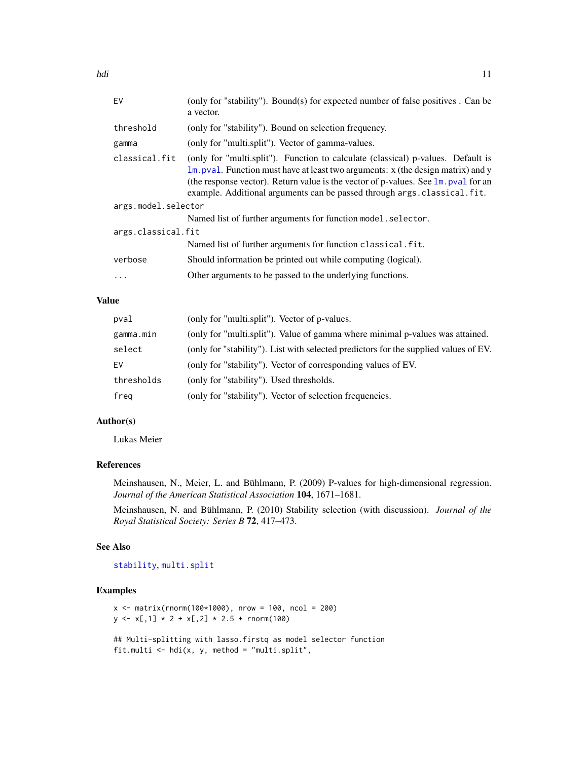<span id="page-10-0"></span>

| EV                  | (only for "stability"). Bound(s) for expected number of false positives . Can be<br>a vector.                                                                                                                                                                                                                                                     |  |
|---------------------|---------------------------------------------------------------------------------------------------------------------------------------------------------------------------------------------------------------------------------------------------------------------------------------------------------------------------------------------------|--|
| threshold           | (only for "stability"). Bound on selection frequency.                                                                                                                                                                                                                                                                                             |  |
| gamma               | (only for "multi.split"). Vector of gamma-values.                                                                                                                                                                                                                                                                                                 |  |
| classical.fit       | (only for "multi.split"). Function to calculate (classical) p-values. Default is<br>1m. pval. Function must have at least two arguments: x (the design matrix) and y<br>(the response vector). Return value is the vector of p-values. See $\text{lm}$ , pval for an<br>example. Additional arguments can be passed through args. classical. fit. |  |
| args.model.selector |                                                                                                                                                                                                                                                                                                                                                   |  |
|                     | Named list of further arguments for function model. selector.                                                                                                                                                                                                                                                                                     |  |
| args.classical.fit  |                                                                                                                                                                                                                                                                                                                                                   |  |
|                     | Named list of further arguments for function classical. fit.                                                                                                                                                                                                                                                                                      |  |
| verbose             | Should information be printed out while computing (logical).                                                                                                                                                                                                                                                                                      |  |
| $\ddots$            | Other arguments to be passed to the underlying functions.                                                                                                                                                                                                                                                                                         |  |
|                     |                                                                                                                                                                                                                                                                                                                                                   |  |

## Value

| pval       | (only for "multi.split"). Vector of p-values.                                        |
|------------|--------------------------------------------------------------------------------------|
| gamma.min  | (only for "multi.split"). Value of gamma where minimal p-values was attained.        |
| select     | (only for "stability"). List with selected predictors for the supplied values of EV. |
| EV         | (only for "stability"). Vector of corresponding values of EV.                        |
| thresholds | (only for "stability"). Used thresholds.                                             |
| freg       | (only for "stability"). Vector of selection frequencies.                             |

## Author(s)

Lukas Meier

## References

Meinshausen, N., Meier, L. and Bühlmann, P. (2009) P-values for high-dimensional regression. *Journal of the American Statistical Association* 104, 1671–1681.

Meinshausen, N. and Bühlmann, P. (2010) Stability selection (with discussion). *Journal of the Royal Statistical Society: Series B* 72, 417–473.

#### See Also

[stability](#page-26-1), [multi.split](#page-17-1)

```
x \le - matrix(rnorm(100*1000), nrow = 100, ncol = 200)
y \leftarrow x[, 1] \times 2 + x[, 2] \times 2.5 + \text{norm}(100)## Multi-splitting with lasso.firstq as model selector function
fit.multi \leq hdi(x, y, method = "multi.split",
```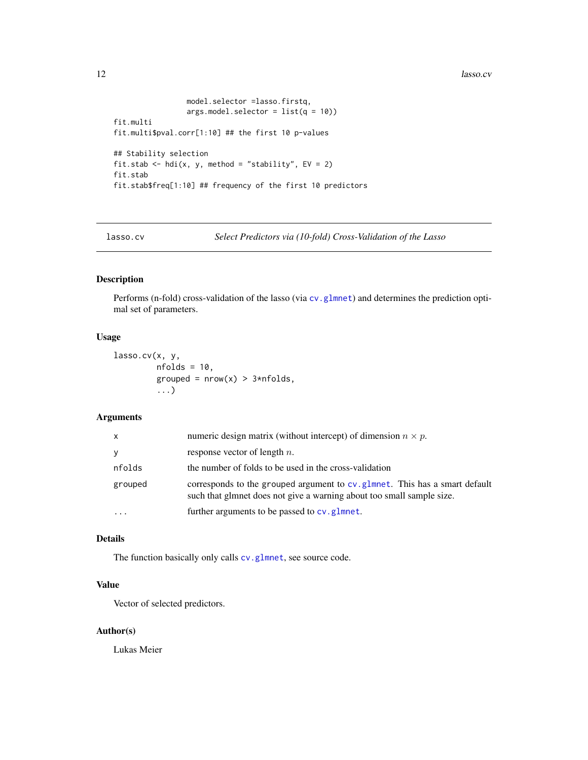<span id="page-11-0"></span>12 lasso.cv

```
model.selector =lasso.firstq,
                 args.model.selector = <math>list(q = 10))fit.multi
fit.multi$pval.corr[1:10] ## the first 10 p-values
## Stability selection
fit.stab \le hdi(x, y, method = "stability", EV = 2)
fit.stab
fit.stab$freq[1:10] ## frequency of the first 10 predictors
```
<span id="page-11-1"></span>lasso.cv *Select Predictors via (10-fold) Cross-Validation of the Lasso*

## Description

Performs (n-fold) cross-validation of the lasso (via cv. glmnet) and determines the prediction optimal set of parameters.

#### Usage

```
lasso.cv(x, y,
         nfolds = 10,
         grouped = nrow(x) > 3*nholds,
         ...)
```
## Arguments

| X         | numeric design matrix (without intercept) of dimension $n \times p$ .                                                                                |
|-----------|------------------------------------------------------------------------------------------------------------------------------------------------------|
| y         | response vector of length $n$ .                                                                                                                      |
| nfolds    | the number of folds to be used in the cross-validation                                                                                               |
| grouped   | corresponds to the grouped argument to cv. glmnet. This has a smart default<br>such that glmnet does not give a warning about too small sample size. |
| $\ddotsc$ | further arguments to be passed to cv.glmnet.                                                                                                         |

## Details

The function basically only calls [cv.glmnet](#page-0-0), see source code.

## Value

Vector of selected predictors.

#### Author(s)

Lukas Meier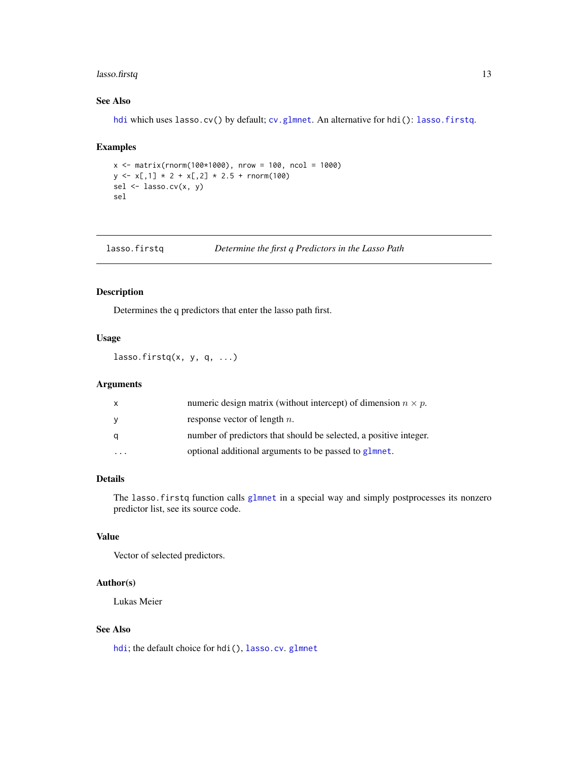## <span id="page-12-0"></span>lasso.firstq 13

## See Also

[hdi](#page-9-1) which uses lasso.cv() by default; [cv.glmnet](#page-0-0). An alternative for hdi(): [lasso.firstq](#page-12-1).

## Examples

```
x \le - matrix(rnorm(100*1000), nrow = 100, ncol = 1000)
y \leq x[1] \times 2 + x[2] \times 2.5 + \text{norm}(100)sel <- lasso.cv(x, y)
sel
```
<span id="page-12-1"></span>

| lasso.firstq | Determine the first q Predictors in the Lasso Path |  |
|--------------|----------------------------------------------------|--|
|              |                                                    |  |

## Description

Determines the q predictors that enter the lasso path first.

## Usage

 $lasso.firstq(x, y, q, ...)$ 

#### Arguments

| $\mathsf{x}$ | numeric design matrix (without intercept) of dimension $n \times p$ . |
|--------------|-----------------------------------------------------------------------|
| <b>y</b>     | response vector of length $n$ .                                       |
| q            | number of predictors that should be selected, a positive integer.     |
|              | optional additional arguments to be passed to glmnet.                 |

### Details

The lasso.firstq function calls [glmnet](#page-0-0) in a special way and simply postprocesses its nonzero predictor list, see its source code.

#### Value

Vector of selected predictors.

#### Author(s)

Lukas Meier

## See Also

[hdi](#page-9-1); the default choice for hdi(), [lasso.cv](#page-11-1). [glmnet](#page-0-0)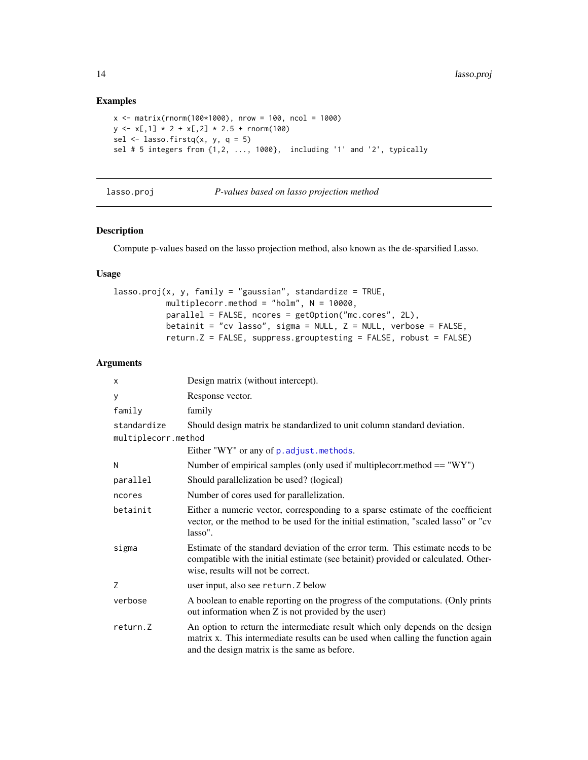## Examples

```
x <- matrix(rnorm(100*1000), nrow = 100, ncol = 1000)
y \leq x[, 1] * 2 + x[, 2] * 2.5 + \text{rnorm}(100)sel \le lasso.firstq(x, y, q = 5)
sel # 5 integers from {1,2, ..., 1000}, including '1' and '2', typically
```
lasso.proj *P-values based on lasso projection method*

#### Description

Compute p-values based on the lasso projection method, also known as the de-sparsified Lasso.

## Usage

```
lasso.proj(x, y, family = "gaussian", standardize = TRUE,multiplecorr.method = "holm", N = 10000,
           parallel = FALSE, ncores = getOption("mc.cores", 2L),
          betainit = "cv lasso", sigma = NULL, Z = NULL, verbose = FALSE,
           return.Z = FALSE, suppress.grouptesting = FALSE, robust = FALSE)
```
#### Arguments

| x                   | Design matrix (without intercept).                                                                                                                                                                              |
|---------------------|-----------------------------------------------------------------------------------------------------------------------------------------------------------------------------------------------------------------|
| У                   | Response vector.                                                                                                                                                                                                |
| family              | family                                                                                                                                                                                                          |
| standardize         | Should design matrix be standardized to unit column standard deviation.                                                                                                                                         |
| multiplecorr.method |                                                                                                                                                                                                                 |
|                     | Either "WY" or any of p. adjust. methods.                                                                                                                                                                       |
| Ν                   | Number of empirical samples (only used if multiplecorr.method $== "WY")$                                                                                                                                        |
| parallel            | Should parallelization be used? (logical)                                                                                                                                                                       |
| ncores              | Number of cores used for parallelization.                                                                                                                                                                       |
| betainit            | Either a numeric vector, corresponding to a sparse estimate of the coefficient<br>vector, or the method to be used for the initial estimation, "scaled lasso" or "cv<br>lasso".                                 |
| sigma               | Estimate of the standard deviation of the error term. This estimate needs to be<br>compatible with the initial estimate (see betainit) provided or calculated. Other-<br>wise, results will not be correct.     |
| Z                   | user input, also see return. Z below                                                                                                                                                                            |
| verbose             | A boolean to enable reporting on the progress of the computations. (Only prints<br>out information when Z is not provided by the user)                                                                          |
| return.Z            | An option to return the intermediate result which only depends on the design<br>matrix x. This intermediate results can be used when calling the function again<br>and the design matrix is the same as before. |

<span id="page-13-0"></span>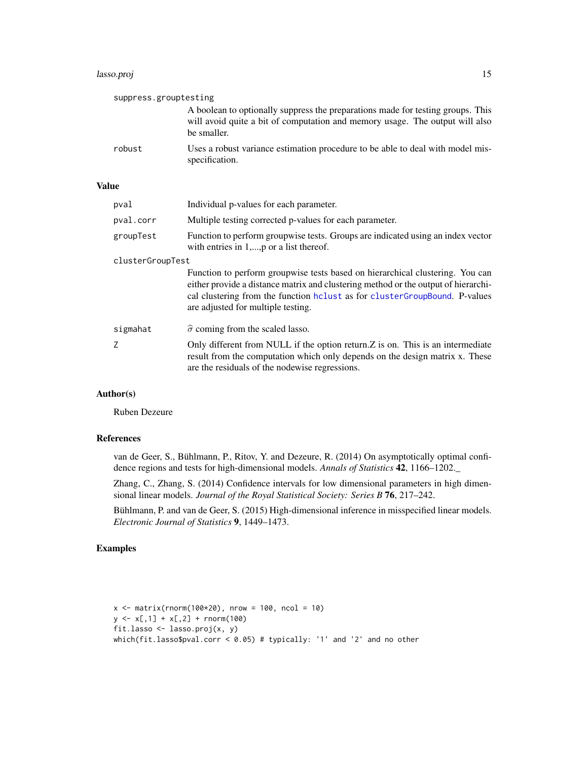#### <span id="page-14-0"></span>lasso.proj 15

|              | suppress.grouptesting |                                                                                                                                                                                                                                                                                          |
|--------------|-----------------------|------------------------------------------------------------------------------------------------------------------------------------------------------------------------------------------------------------------------------------------------------------------------------------------|
|              |                       | A boolean to optionally suppress the preparations made for testing groups. This<br>will avoid quite a bit of computation and memory usage. The output will also<br>be smaller.                                                                                                           |
|              | robust                | Uses a robust variance estimation procedure to be able to deal with model mis-<br>specification.                                                                                                                                                                                         |
| <b>Value</b> |                       |                                                                                                                                                                                                                                                                                          |
|              | pval                  | Individual p-values for each parameter.                                                                                                                                                                                                                                                  |
|              | pval.corr             | Multiple testing corrected p-values for each parameter.                                                                                                                                                                                                                                  |
|              | groupTest             | Function to perform groupwise tests. Groups are indicated using an index vector<br>with entries in $1, \ldots, p$ or a list thereof.                                                                                                                                                     |
|              | clusterGroupTest      |                                                                                                                                                                                                                                                                                          |
|              |                       | Function to perform groupwise tests based on hierarchical clustering. You can<br>either provide a distance matrix and clustering method or the output of hierarchi-<br>cal clustering from the function heliust as for clusterGroupBound. P-values<br>are adjusted for multiple testing. |
|              | sigmahat              | $\hat{\sigma}$ coming from the scaled lasso.                                                                                                                                                                                                                                             |

Z Only different from NULL if the option return.Z is on. This is an intermediate result from the computation which only depends on the design matrix x. These are the residuals of the nodewise regressions.

#### Author(s)

Ruben Dezeure

#### References

van de Geer, S., Bühlmann, P., Ritov, Y. and Dezeure, R. (2014) On asymptotically optimal confidence regions and tests for high-dimensional models. *Annals of Statistics* 42, 1166–1202.\_

Zhang, C., Zhang, S. (2014) Confidence intervals for low dimensional parameters in high dimensional linear models. *Journal of the Royal Statistical Society: Series B* 76, 217–242.

Bühlmann, P. and van de Geer, S. (2015) High-dimensional inference in misspecified linear models. *Electronic Journal of Statistics* 9, 1449–1473.

```
x \le - matrix(rnorm(100*20), nrow = 100, ncol = 10)
y \leftarrow x[, 1] + x[, 2] + \text{norm}(100)fit.lasso <- lasso.proj(x, y)
which(fit.lasso$pval.corr < 0.05) # typically: '1' and '2' and no other
```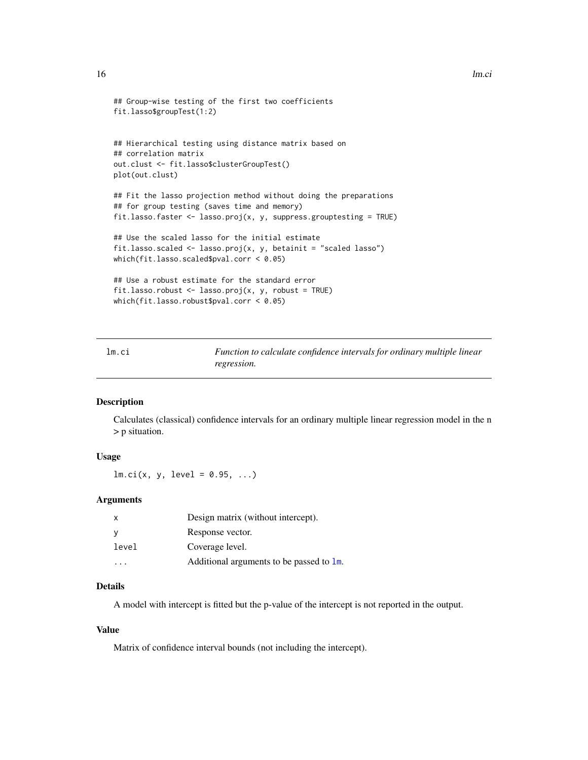```
## Group-wise testing of the first two coefficients
fit.lasso$groupTest(1:2)
## Hierarchical testing using distance matrix based on
## correlation matrix
out.clust <- fit.lasso$clusterGroupTest()
plot(out.clust)
## Fit the lasso projection method without doing the preparations
## for group testing (saves time and memory)
fit.lasso.faster <- lasso.proj(x, y, suppress.grouptesting = TRUE)
## Use the scaled lasso for the initial estimate
fit.lasso.scaled \leq lasso.proj(x, y, betainit = "scaled lasso")
which(fit.lasso.scaled$pval.corr < 0.05)
## Use a robust estimate for the standard error
fit.lasso.robust <- lasso.proj(x, y, robust = TRUE)
which(fit.lasso.robust$pval.corr < 0.05)
```
<span id="page-15-1"></span>

| lm.ci | Function to calculate confidence intervals for ordinary multiple linear |
|-------|-------------------------------------------------------------------------|
|       | regression.                                                             |

#### Description

Calculates (classical) confidence intervals for an ordinary multiple linear regression model in the n > p situation.

## Usage

 $lm.ci(x, y, level = 0.95, ...)$ 

#### Arguments

| $\mathsf{x}$ | Design matrix (without intercept).       |
|--------------|------------------------------------------|
| - V          | Response vector.                         |
| level        | Coverage level.                          |
|              | Additional arguments to be passed to 1m. |

## Details

A model with intercept is fitted but the p-value of the intercept is not reported in the output.

## Value

Matrix of confidence interval bounds (not including the intercept).

<span id="page-15-0"></span>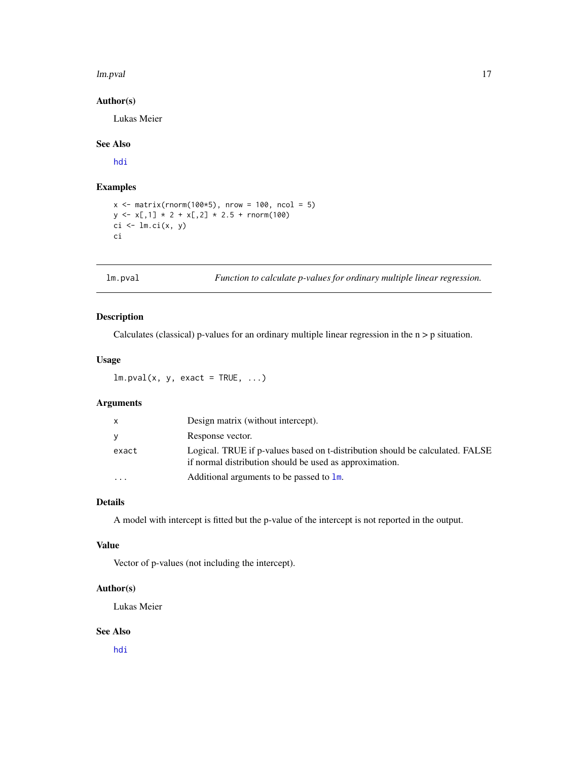#### <span id="page-16-0"></span>lm.pval and the contract of the contract of the contract of the contract of the contract of the contract of the contract of the contract of the contract of the contract of the contract of the contract of the contract of th

## Author(s)

Lukas Meier

## See Also

[hdi](#page-9-1)

## Examples

```
x \le - matrix(rnorm(100*5), nrow = 100, ncol = 5)
y \leftarrow x[, 1] * 2 + x[, 2] * 2.5 + \text{norm}(100)ci \leftarrow lm.ci(x, y)ci
```
<span id="page-16-1"></span>

lm.pval *Function to calculate p-values for ordinary multiple linear regression.*

## Description

Calculates (classical) p-values for an ordinary multiple linear regression in the n > p situation.

## Usage

 $lm.pval(x, y, exact = TRUE, ...)$ 

## Arguments

| $\mathsf{x}$ | Design matrix (without intercept).                                                                                                       |
|--------------|------------------------------------------------------------------------------------------------------------------------------------------|
| y            | Response vector.                                                                                                                         |
| exact        | Logical. TRUE if p-values based on t-distribution should be calculated. FALSE<br>if normal distribution should be used as approximation. |
|              | Additional arguments to be passed to $\text{Im}$ .                                                                                       |

## Details

A model with intercept is fitted but the p-value of the intercept is not reported in the output.

#### Value

Vector of p-values (not including the intercept).

#### Author(s)

Lukas Meier

## See Also

[hdi](#page-9-1)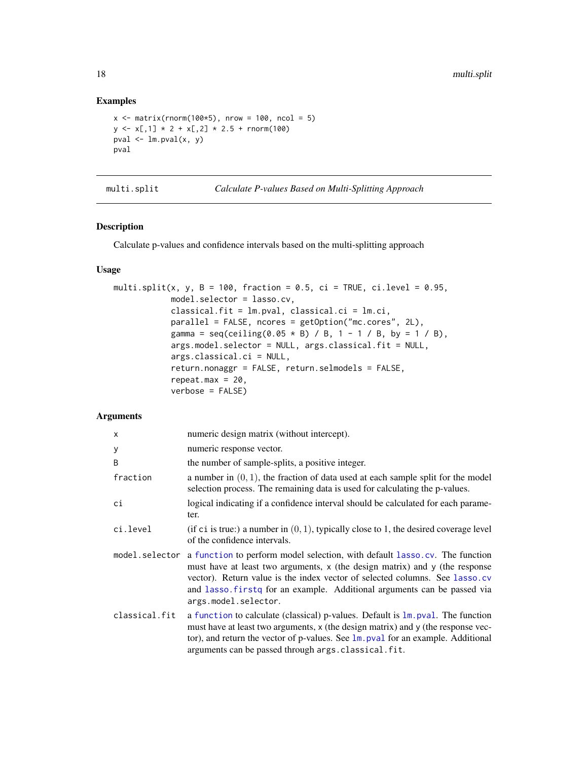#### Examples

```
x \le - matrix(rnorm(100*5), nrow = 100, ncol = 5)
y \leq x[, 1] * 2 + x[, 2] * 2.5 + \text{norm}(100)pval \leq 1m.pval(x, y)pval
```
<span id="page-17-1"></span>

multi.split *Calculate P-values Based on Multi-Splitting Approach*

## Description

Calculate p-values and confidence intervals based on the multi-splitting approach

## Usage

```
multi.split(x, y, B = 100, fraction = 0.5, ci = TRUE, ci.level = 0.95,
            model.selector = lasso.cv,
            classical.fit = lm.pval, classical.ci = lm.ci,
            parallel = FALSE, ncores = getOption("mc.cores", 2L),
            gamma = seq(ceiling(0.05 * B) / B, 1 - 1 / B, by = 1 / B),args.model.selector = NULL, args.classical.fit = NULL,
            args.classical.ci = NULL,
            return.nonaggr = FALSE, return.selmodels = FALSE,
            repeat.max = 20,
            verbose = FALSE)
```
#### Arguments

| X             | numeric design matrix (without intercept).                                                                                                                                                                                                                                                                                                                  |
|---------------|-------------------------------------------------------------------------------------------------------------------------------------------------------------------------------------------------------------------------------------------------------------------------------------------------------------------------------------------------------------|
| У             | numeric response vector.                                                                                                                                                                                                                                                                                                                                    |
| B             | the number of sample-splits, a positive integer.                                                                                                                                                                                                                                                                                                            |
| fraction      | a number in $(0, 1)$ , the fraction of data used at each sample split for the model<br>selection process. The remaining data is used for calculating the p-values.                                                                                                                                                                                          |
| ci            | logical indicating if a confidence interval should be calculated for each parame-<br>ter.                                                                                                                                                                                                                                                                   |
| ci.level      | (if ci is true:) a number in $(0, 1)$ , typically close to 1, the desired coverage level<br>of the confidence intervals.                                                                                                                                                                                                                                    |
|               | model.selector a function to perform model selection, with default lasso.cv. The function<br>must have at least two arguments, x (the design matrix) and y (the response<br>vector). Return value is the index vector of selected columns. See lasso.cv<br>and lasso. firstq for an example. Additional arguments can be passed via<br>args.model.selector. |
| classical.fit | a function to calculate (classical) p-values. Default is $\text{Im.}$ pval. The function<br>must have at least two arguments, x (the design matrix) and y (the response vec-<br>tor), and return the vector of p-values. See $\text{lm.pval}$ for an example. Additional<br>arguments can be passed through args. classical. fit.                           |

<span id="page-17-0"></span>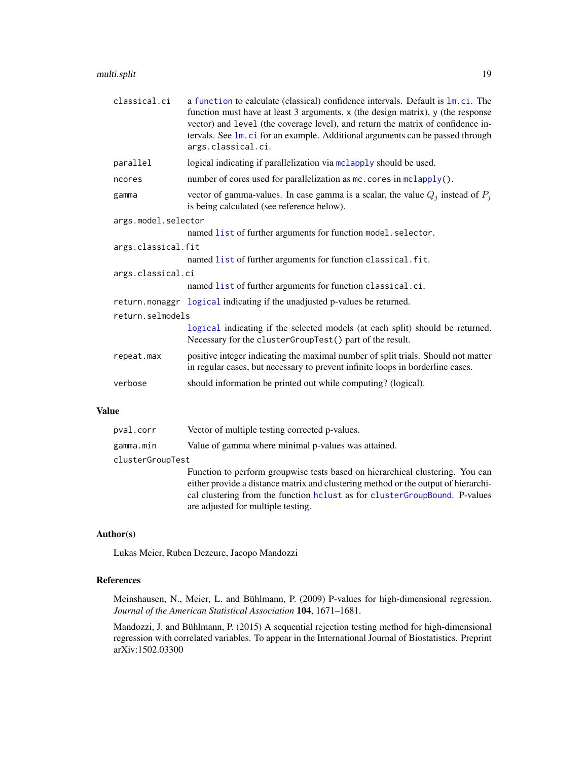## <span id="page-18-0"></span>multi.split 19

| classical.ci        | a function to calculate (classical) confidence intervals. Default is $1m$ .ci. The<br>function must have at least 3 arguments, x (the design matrix), y (the response<br>vector) and level (the coverage level), and return the matrix of confidence in-<br>tervals. See 1m. ci for an example. Additional arguments can be passed through<br>args.classical.ci. |  |
|---------------------|------------------------------------------------------------------------------------------------------------------------------------------------------------------------------------------------------------------------------------------------------------------------------------------------------------------------------------------------------------------|--|
| parallel            | logical indicating if parallelization via mclapply should be used.                                                                                                                                                                                                                                                                                               |  |
| ncores              | number of cores used for parallelization as mc. cores in mclapply().                                                                                                                                                                                                                                                                                             |  |
| gamma               | vector of gamma-values. In case gamma is a scalar, the value $Q_i$ instead of $P_i$<br>is being calculated (see reference below).                                                                                                                                                                                                                                |  |
| args.model.selector |                                                                                                                                                                                                                                                                                                                                                                  |  |
|                     | named list of further arguments for function model.selector.                                                                                                                                                                                                                                                                                                     |  |
| args.classical.fit  |                                                                                                                                                                                                                                                                                                                                                                  |  |
|                     | named list of further arguments for function classical.fit.                                                                                                                                                                                                                                                                                                      |  |
| args.classical.ci   |                                                                                                                                                                                                                                                                                                                                                                  |  |
|                     | named list of further arguments for function classical.ci.                                                                                                                                                                                                                                                                                                       |  |
|                     | return.nonaggr logical indicating if the unadjusted p-values be returned.                                                                                                                                                                                                                                                                                        |  |
| return.selmodels    |                                                                                                                                                                                                                                                                                                                                                                  |  |
|                     | logical indicating if the selected models (at each split) should be returned.<br>Necessary for the clusterGroupTest() part of the result.                                                                                                                                                                                                                        |  |
| repeat.max          | positive integer indicating the maximal number of split trials. Should not matter<br>in regular cases, but necessary to prevent infinite loops in borderline cases.                                                                                                                                                                                              |  |
| verbose             | should information be printed out while computing? (logical).                                                                                                                                                                                                                                                                                                    |  |

#### Value

| pval.corr        | Vector of multiple testing corrected p-values.                                                                                                                                                                                                                                            |
|------------------|-------------------------------------------------------------------------------------------------------------------------------------------------------------------------------------------------------------------------------------------------------------------------------------------|
| gamma.min        | Value of gamma where minimal p-values was attained.                                                                                                                                                                                                                                       |
| clusterGroupTest |                                                                                                                                                                                                                                                                                           |
|                  | Function to perform groupwise tests based on hierarchical clustering. You can<br>either provide a distance matrix and clustering method or the output of hierarchi-<br>cal clustering from the function heliust as for cluster GroupBound. P-values<br>are adjusted for multiple testing. |

## Author(s)

Lukas Meier, Ruben Dezeure, Jacopo Mandozzi

## References

Meinshausen, N., Meier, L. and Bühlmann, P. (2009) P-values for high-dimensional regression. *Journal of the American Statistical Association* 104, 1671–1681.

Mandozzi, J. and Bühlmann, P. (2015) A sequential rejection testing method for high-dimensional regression with correlated variables. To appear in the International Journal of Biostatistics. Preprint arXiv:1502.03300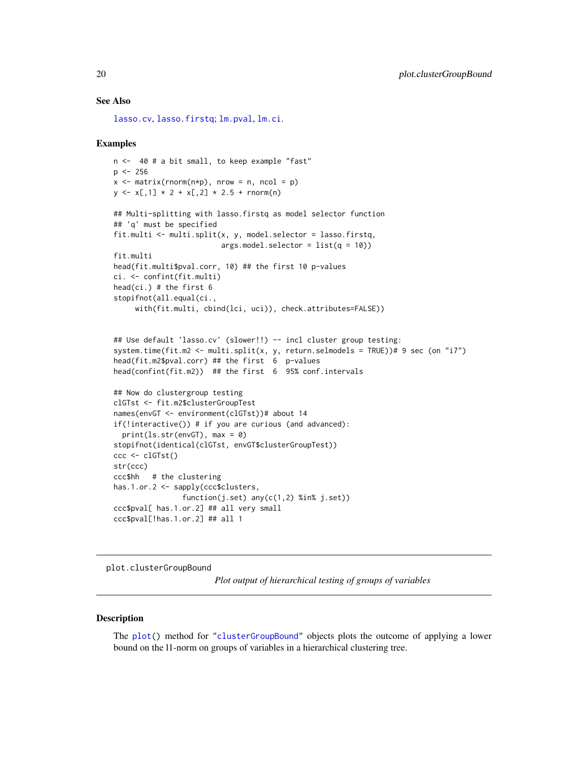#### See Also

[lasso.cv](#page-11-1), [lasso.firstq](#page-12-1); [lm.pval](#page-16-1), [lm.ci](#page-15-1).

#### Examples

```
n <- 40 # a bit small, to keep example "fast"
p \le -256x \le - matrix(rnorm(n \ne p), nrow = n, ncol = p)
y \leq x[, 1] * 2 + x[, 2] * 2.5 + \text{rnorm}(n)## Multi-splitting with lasso.firstq as model selector function
## 'q' must be specified
fit.multi <- multi.split(x, y, model.selector = lasso.firstq,
                         args.model.selector = <math>list(q = 10))
fit.multi
head(fit.multi$pval.corr, 10) ## the first 10 p-values
ci. <- confint(fit.multi)
head(ci.) # the first 6
stopifnot(all.equal(ci.,
     with(fit.multi, cbind(lci, uci)), check.attributes=FALSE))
## Use default 'lasso.cv' (slower!!) -- incl cluster group testing:
system.time(fit.m2 <- multi.split(x, y, return.selmodels = TRUE))# 9 sec (on "i7")
head(fit.m2$pval.corr) ## the first 6 p-values
head(confint(fit.m2)) ## the first 6 95% conf.intervals
## Now do clustergroup testing
clGTst <- fit.m2$clusterGroupTest
names(envGT <- environment(clGTst))# about 14
if(!interactive()) # if you are curious (and advanced):
  print(ls.str(envGT), max = 0)
stopifnot(identical(clGTst, envGT$clusterGroupTest))
ccc <- clGTst()
str(ccc)
ccc$hh # the clustering
has.1.or.2 <- sapply(ccc$clusters,
                function(j.set) any(c(1,2) %in% j.set))
ccc$pval[ has.1.or.2] ## all very small
ccc$pval[!has.1.or.2] ## all 1
```
plot.clusterGroupBound

*Plot output of hierarchical testing of groups of variables*

#### Description

The [plot\(](#page-0-0)) method for ["clusterGroupBound"](#page-2-1) objects plots the outcome of applying a lower bound on the l1-norm on groups of variables in a hierarchical clustering tree.

<span id="page-19-0"></span>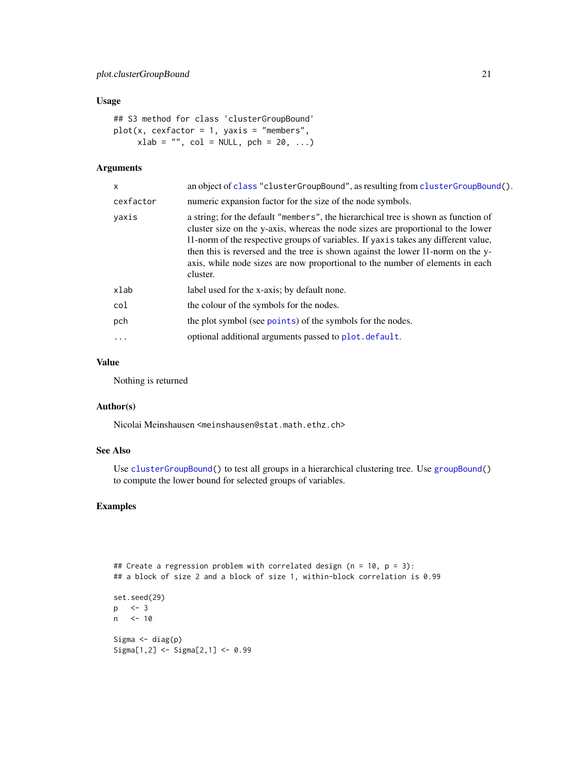#### <span id="page-20-0"></span>Usage

```
## S3 method for class 'clusterGroupBound'
plot(x, cexfactor = 1, yaxis = "members",xlab = "", col = NULL, pch = 20, ...)
```
## Arguments

| an object of class "clusterGroupBound", as resulting from clusterGroupBound().                                                                                                                                                                                                                                                                                                                                                               |
|----------------------------------------------------------------------------------------------------------------------------------------------------------------------------------------------------------------------------------------------------------------------------------------------------------------------------------------------------------------------------------------------------------------------------------------------|
| numeric expansion factor for the size of the node symbols.                                                                                                                                                                                                                                                                                                                                                                                   |
| a string; for the default "members", the hierarchical tree is shown as function of<br>cluster size on the y-axis, whereas the node sizes are proportional to the lower<br>11-norm of the respective groups of variables. If yaxis takes any different value,<br>then this is reversed and the tree is shown against the lower 11-norm on the y-<br>axis, while node sizes are now proportional to the number of elements in each<br>cluster. |
| label used for the x-axis; by default none.                                                                                                                                                                                                                                                                                                                                                                                                  |
| the colour of the symbols for the nodes.                                                                                                                                                                                                                                                                                                                                                                                                     |
| the plot symbol (see points) of the symbols for the nodes.                                                                                                                                                                                                                                                                                                                                                                                   |
| optional additional arguments passed to plot. default.                                                                                                                                                                                                                                                                                                                                                                                       |
|                                                                                                                                                                                                                                                                                                                                                                                                                                              |

#### Value

Nothing is returned

#### Author(s)

Nicolai Meinshausen <meinshausen@stat.math.ethz.ch>

## See Also

Use [clusterGroupBound\(](#page-2-1)) to test all groups in a hierarchical clustering tree. Use [groupBound\(](#page-7-1)) to compute the lower bound for selected groups of variables.

## Examples

## Create a regression problem with correlated design (n = 10, p = 3): ## a block of size 2 and a block of size 1, within-block correlation is 0.99 set.seed(29) p <- 3 n <- 10 Sigma  $\leq$  diag(p) Sigma[1,2] <- Sigma[2,1] <- 0.99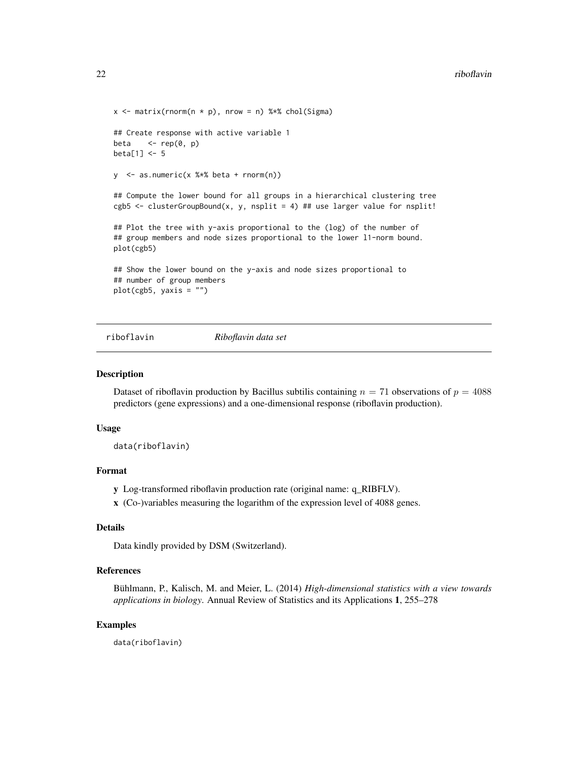```
x \le matrix(rnorm(n * p), nrow = n) %*% chol(Sigma)
## Create response with active variable 1
beta \leq rep(0, p)
beta[1] <- 5
y <- as.numeric(x %*% beta + rnorm(n))
## Compute the lower bound for all groups in a hierarchical clustering tree
cgb5 <- clusterGroupBound(x, y, nsplit = 4) ## use larger value for nsplit!
## Plot the tree with y-axis proportional to the (log) of the number of
## group members and node sizes proportional to the lower 11-norm bound.
plot(cgb5)
## Show the lower bound on the y-axis and node sizes proportional to
## number of group members
plot(cgb5, yaxis = "")
```
riboflavin *Riboflavin data set*

#### **Description**

Dataset of riboflavin production by Bacillus subtilis containing  $n = 71$  observations of  $p = 4088$ predictors (gene expressions) and a one-dimensional response (riboflavin production).

#### Usage

data(riboflavin)

#### Format

y Log-transformed riboflavin production rate (original name: q\_RIBFLV).

x (Co-)variables measuring the logarithm of the expression level of 4088 genes.

## Details

Data kindly provided by DSM (Switzerland).

## References

Bühlmann, P., Kalisch, M. and Meier, L. (2014) *High-dimensional statistics with a view towards applications in biology*. Annual Review of Statistics and its Applications 1, 255–278

#### Examples

data(riboflavin)

<span id="page-21-0"></span>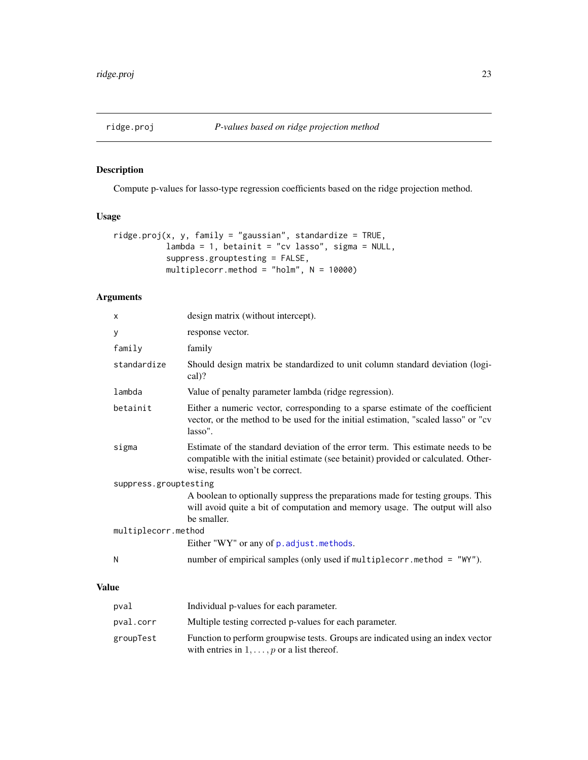<span id="page-22-0"></span>

## Description

Compute p-values for lasso-type regression coefficients based on the ridge projection method.

## Usage

```
ridge.proj(x, y, family = "gaussian", standardize = TRUE,lambda = 1, betainit = "cv lasso", sigma = NULL,
           suppress.grouptesting = FALSE,
          multiplecorr.method = "holm", N = 10000)
```
## Arguments

|       | X                     | design matrix (without intercept).                                                                                                                                                                       |  |
|-------|-----------------------|----------------------------------------------------------------------------------------------------------------------------------------------------------------------------------------------------------|--|
|       | y                     | response vector.                                                                                                                                                                                         |  |
|       | family                | family                                                                                                                                                                                                   |  |
|       | standardize           | Should design matrix be standardized to unit column standard deviation (logi-<br>cal)?                                                                                                                   |  |
|       | lambda                | Value of penalty parameter lambda (ridge regression).                                                                                                                                                    |  |
|       | betainit              | Either a numeric vector, corresponding to a sparse estimate of the coefficient<br>vector, or the method to be used for the initial estimation, "scaled lasso" or "cv<br>lasso".                          |  |
|       | sigma                 | Estimate of the standard deviation of the error term. This estimate needs to be<br>compatible with the initial estimate (see betainit) provided or calculated. Other-<br>wise, results won't be correct. |  |
|       | suppress.grouptesting |                                                                                                                                                                                                          |  |
|       |                       | A boolean to optionally suppress the preparations made for testing groups. This<br>will avoid quite a bit of computation and memory usage. The output will also<br>be smaller.                           |  |
|       | multiplecorr.method   |                                                                                                                                                                                                          |  |
|       |                       | Either "WY" or any of p. adjust. methods.                                                                                                                                                                |  |
|       | N                     | number of empirical samples (only used if multiplecorr.method = "WY").                                                                                                                                   |  |
| Value |                       |                                                                                                                                                                                                          |  |

## pval Individual p-values for each parameter. pval.corr Multiple testing corrected p-values for each parameter. groupTest Function to perform groupwise tests. Groups are indicated using an index vector with entries in  $1, \ldots, p$  or a list thereof.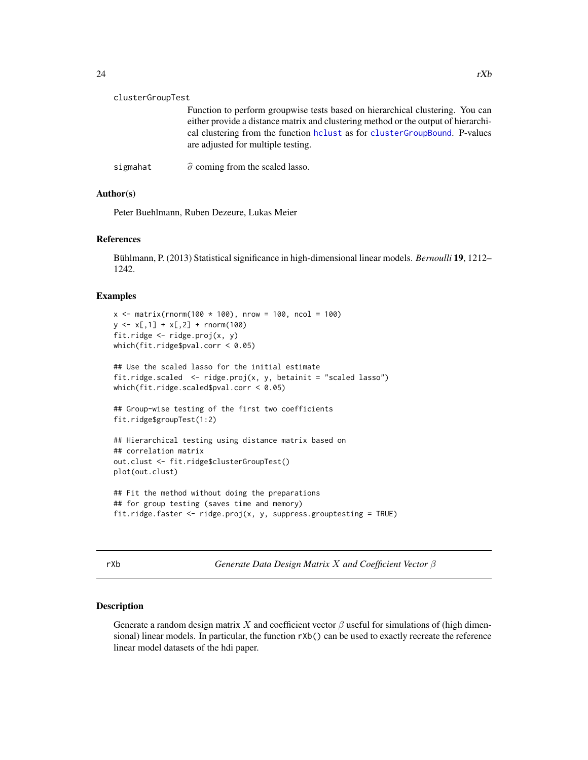<span id="page-23-0"></span>

| clusterGroupTest |                                                                                                                                                                                                                                                                                          |  |  |  |
|------------------|------------------------------------------------------------------------------------------------------------------------------------------------------------------------------------------------------------------------------------------------------------------------------------------|--|--|--|
|                  | Function to perform groupwise tests based on hierarchical clustering. You can<br>either provide a distance matrix and clustering method or the output of hierarchi-<br>cal clustering from the function holiest as for clusterGroupBound. P-values<br>are adjusted for multiple testing. |  |  |  |
| sigmahat         | $\hat{\sigma}$ coming from the scaled lasso.                                                                                                                                                                                                                                             |  |  |  |

#### Author(s)

Peter Buehlmann, Ruben Dezeure, Lukas Meier

#### References

Bühlmann, P. (2013) Statistical significance in high-dimensional linear models. *Bernoulli* 19, 1212– 1242.

#### Examples

```
x \le - matrix(rnorm(100 * 100), nrow = 100, ncol = 100)
y \leq x[, 1] + x[, 2] + \text{norm}(100)fit.ridge <- ridge.proj(x, y)
which(fit.ridge$pval.corr < 0.05)
## Use the scaled lasso for the initial estimate
fit.ridge.scaled \leq ridge.proj(x, y, betainit = "scaled lasso")
which(fit.ridge.scaled$pval.corr < 0.05)
## Group-wise testing of the first two coefficients
fit.ridge$groupTest(1:2)
## Hierarchical testing using distance matrix based on
## correlation matrix
out.clust <- fit.ridge$clusterGroupTest()
plot(out.clust)
## Fit the method without doing the preparations
## for group testing (saves time and memory)
```
fit.ridge.faster <- ridge.proj(x, y, suppress.grouptesting = TRUE)

| ۰. |  |
|----|--|
| ×  |  |
|    |  |

rXb *Generate Data Design Matrix* X *and Coefficient Vector* β

## Description

Generate a random design matrix X and coefficient vector  $\beta$  useful for simulations of (high dimensional) linear models. In particular, the function rXb() can be used to exactly recreate the reference linear model datasets of the hdi paper.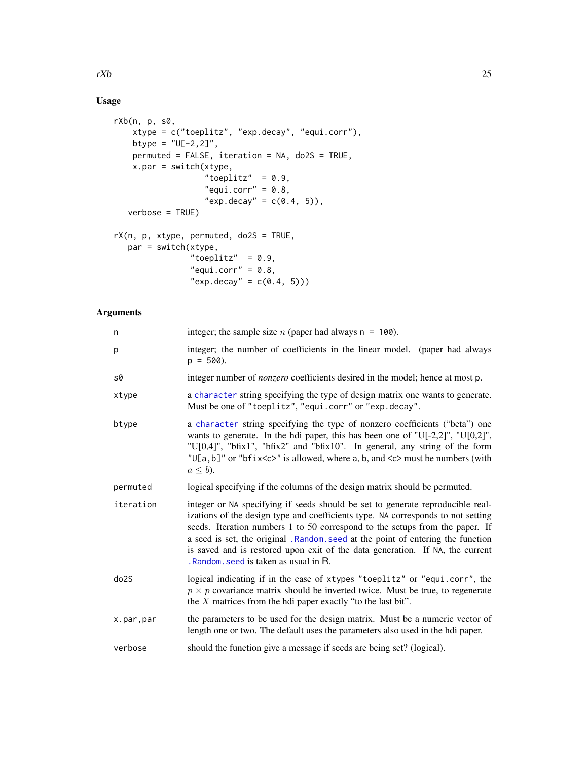## Usage

```
rXb(n, p, s0,
   xtype = c("toeplitz", "exp.decay", "equi.corr"),
   btype = "U[-2,2]",permuted = FALSE, iteration = NA, do2S = TRUE,
   x.par = switch(xtype,
                  "toeplitz" = 0.9,
                  "equi.corr" = 0.8,
                  "exp.decay" = c(0.4, 5)),
  verbose = TRUE)
rX(n, p, xtype, permuted, do2S = TRUE,
  par = switch(xtype,
```

```
"toeplitz" = 0.9,
"equi.corr" = 0.8,"exp.decay" = c(0.4, 5))
```
## Arguments

| integer; the sample size <i>n</i> (paper had always $n = 100$ ).                                                                                                                                                                                                                                                                                                                                                                                              |
|---------------------------------------------------------------------------------------------------------------------------------------------------------------------------------------------------------------------------------------------------------------------------------------------------------------------------------------------------------------------------------------------------------------------------------------------------------------|
| integer; the number of coefficients in the linear model. (paper had always<br>$p = 500$ ).                                                                                                                                                                                                                                                                                                                                                                    |
| integer number of <i>nonzero</i> coefficients desired in the model; hence at most p.                                                                                                                                                                                                                                                                                                                                                                          |
| a character string specifying the type of design matrix one wants to generate.<br>Must be one of "toeplitz", "equi.corr" or "exp.decay".                                                                                                                                                                                                                                                                                                                      |
| a character string specifying the type of nonzero coefficients ("beta") one<br>wants to generate. In the hdi paper, this has been one of "U[-2,2]", "U[0,2]",<br>"U[0,4]", "bfix1", "bfix2" and "bfix10". In general, any string of the form<br>"U[a,b]" or "bfix <c>" is allowed, where a, b, and <c> must be numbers (with<br/><math>a \leq b</math>).</c></c>                                                                                              |
| logical specifying if the columns of the design matrix should be permuted.                                                                                                                                                                                                                                                                                                                                                                                    |
| integer or NA specifying if seeds should be set to generate reproducible real-<br>izations of the design type and coefficients type. NA corresponds to not setting<br>seeds. Iteration numbers 1 to 50 correspond to the setups from the paper. If<br>a seed is set, the original .Random.seed at the point of entering the function<br>is saved and is restored upon exit of the data generation. If NA, the current<br>Random, seed is taken as usual in R. |
| logical indicating if in the case of xtypes "toeplitz" or "equi.corr", the<br>$p \times p$ covariance matrix should be inverted twice. Must be true, to regenerate<br>the $X$ matrices from the hdi paper exactly "to the last bit".                                                                                                                                                                                                                          |
| the parameters to be used for the design matrix. Must be a numeric vector of<br>length one or two. The default uses the parameters also used in the hdi paper.                                                                                                                                                                                                                                                                                                |
| should the function give a message if seeds are being set? (logical).                                                                                                                                                                                                                                                                                                                                                                                         |
|                                                                                                                                                                                                                                                                                                                                                                                                                                                               |

<span id="page-24-0"></span> $rXb$  25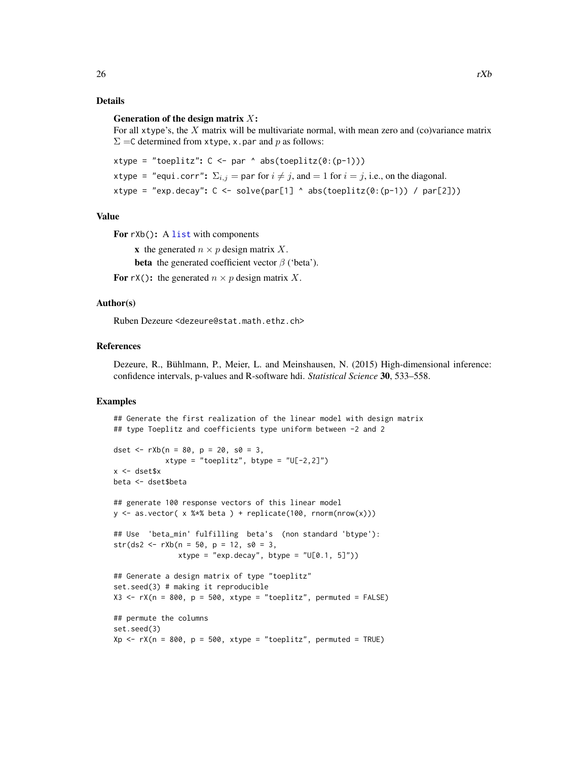## <span id="page-25-0"></span>Details

#### Generation of the design matrix  $X$ :

For all xtype's, the  $X$  matrix will be multivariate normal, with mean zero and (co)variance matrix  $\Sigma = C$  determined from xtype, x.par and p as follows:

```
xtype = "toeplitz": C \leq par \land abs(toeplitz(0:(p-1)))
xtype = "equi.corr": \Sigma_{i,j} = par for i \neq j, and = 1 for i = j, i.e., on the diagonal.
xtype = "exp.decay": C \leq -solve(par[1] \land abs(toeplitz(0:(p-1)) / par[2]))
```
## Value

For  $rXb()$ : A [list](#page-0-0) with components

x the generated  $n \times p$  design matrix X. **beta** the generated coefficient vector  $\beta$  ('beta').

For rX(): the generated  $n \times p$  design matrix X.

#### Author(s)

Ruben Dezeure <dezeure@stat.math.ethz.ch>

#### References

Dezeure, R., Bühlmann, P., Meier, L. and Meinshausen, N. (2015) High-dimensional inference: confidence intervals, p-values and R-software hdi. *Statistical Science* 30, 533–558.

```
## Generate the first realization of the linear model with design matrix
## type Toeplitz and coefficients type uniform between -2 and 2
dset \leq -rXb(n = 80, p = 20, s0 = 3,xtype = "toeplitz", btype = "U[-2,2]")
x <- dset$x
beta <- dset$beta
## generate 100 response vectors of this linear model
y \le - as.vector( x %*% beta ) + replicate(100, rnorm(nrow(x)))
## Use 'beta_min' fulfilling beta's (non standard 'btype'):
str(ds2 <- rXb(n = 50, p = 12, s0 = 3,xtype = "exp.deg", byte = "U[0.1, 5]")## Generate a design matrix of type "toeplitz"
set.seed(3) # making it reproducible
X3 \leq rX(n = 800, p = 500, xtype = "toeplitz", permuted = FALSE)## permute the columns
set.seed(3)
Xp \leq -rX(n = 800, p = 500, xtype = "toeplitz", permuted = TRUE)
```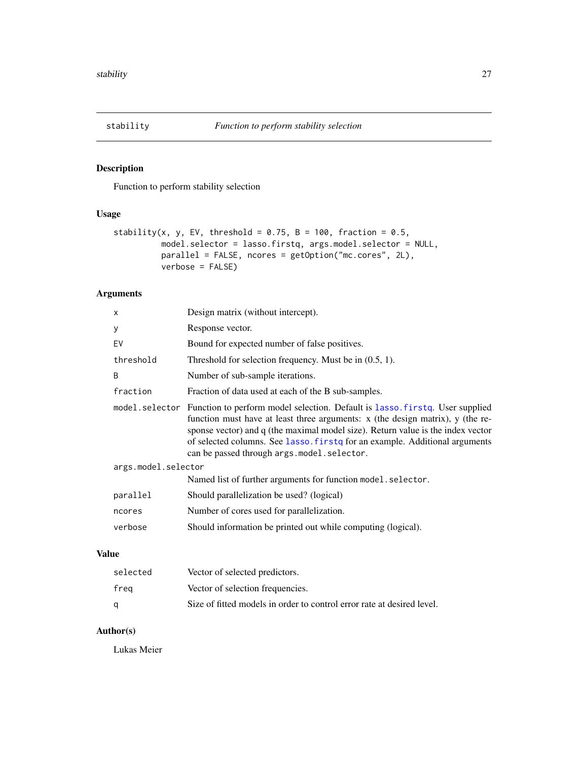<span id="page-26-1"></span><span id="page-26-0"></span>

## Description

Function to perform stability selection

## Usage

```
stability(x, y, EV, threshold = 0.75, B = 100, fraction = 0.5,
         model.selector = lasso.firstq, args.model.selector = NULL,
         parallel = FALSE, ncores = getOption("mc.cores", 2L),
         verbose = FALSE)
```
## Arguments

|              | X                   | Design matrix (without intercept).                                                                                                                                                                                                                                                                                                                                                               |
|--------------|---------------------|--------------------------------------------------------------------------------------------------------------------------------------------------------------------------------------------------------------------------------------------------------------------------------------------------------------------------------------------------------------------------------------------------|
|              | У                   | Response vector.                                                                                                                                                                                                                                                                                                                                                                                 |
|              | EV                  | Bound for expected number of false positives.                                                                                                                                                                                                                                                                                                                                                    |
|              | threshold           | Threshold for selection frequency. Must be in $(0.5, 1)$ .                                                                                                                                                                                                                                                                                                                                       |
|              | B                   | Number of sub-sample iterations.                                                                                                                                                                                                                                                                                                                                                                 |
|              | fraction            | Fraction of data used at each of the B sub-samples.                                                                                                                                                                                                                                                                                                                                              |
|              |                     | model.selector Function to perform model selection. Default is lasso.firstq. User supplied<br>function must have at least three arguments: $x$ (the design matrix), $y$ (the re-<br>sponse vector) and q (the maximal model size). Return value is the index vector<br>of selected columns. See lasso. firstq for an example. Additional arguments<br>can be passed through args.model.selector. |
|              | args.model.selector |                                                                                                                                                                                                                                                                                                                                                                                                  |
|              |                     | Named list of further arguments for function model.selector.                                                                                                                                                                                                                                                                                                                                     |
|              | parallel            | Should parallelization be used? (logical)                                                                                                                                                                                                                                                                                                                                                        |
|              | ncores              | Number of cores used for parallelization.                                                                                                                                                                                                                                                                                                                                                        |
|              | verbose             | Should information be printed out while computing (logical).                                                                                                                                                                                                                                                                                                                                     |
| <b>Value</b> |                     |                                                                                                                                                                                                                                                                                                                                                                                                  |
|              | selected            | Vector of selected predictors.                                                                                                                                                                                                                                                                                                                                                                   |

| selected | Vector of selected predictors.                                         |
|----------|------------------------------------------------------------------------|
| freg     | Vector of selection frequencies.                                       |
| a        | Size of fitted models in order to control error rate at desired level. |

## Author(s)

Lukas Meier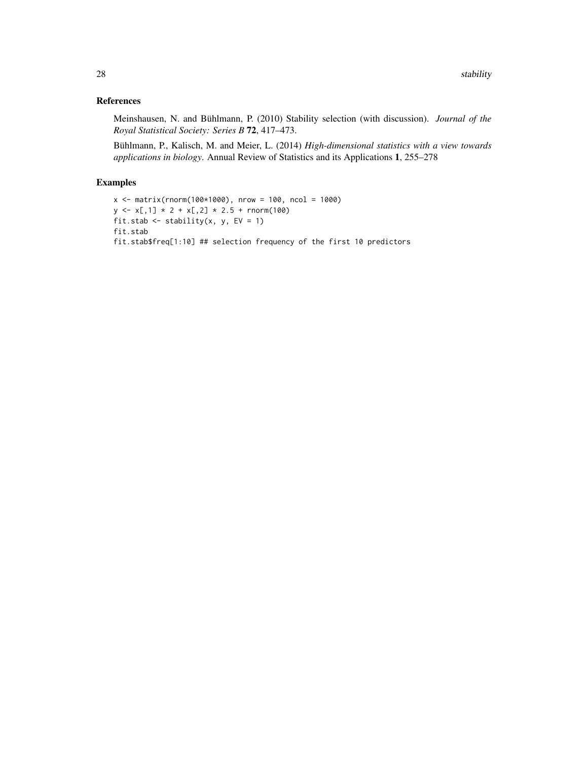## References

Meinshausen, N. and Bühlmann, P. (2010) Stability selection (with discussion). *Journal of the Royal Statistical Society: Series B* 72, 417–473.

Bühlmann, P., Kalisch, M. and Meier, L. (2014) *High-dimensional statistics with a view towards applications in biology*. Annual Review of Statistics and its Applications 1, 255–278

```
x <- matrix(rnorm(100*1000), nrow = 100, ncol = 1000)
y \leftarrow x[, 1] * 2 + x[, 2] * 2.5 + \text{norm}(100)fit.stab \le stability(x, y, EV = 1)
fit.stab
fit.stab$freq[1:10] ## selection frequency of the first 10 predictors
```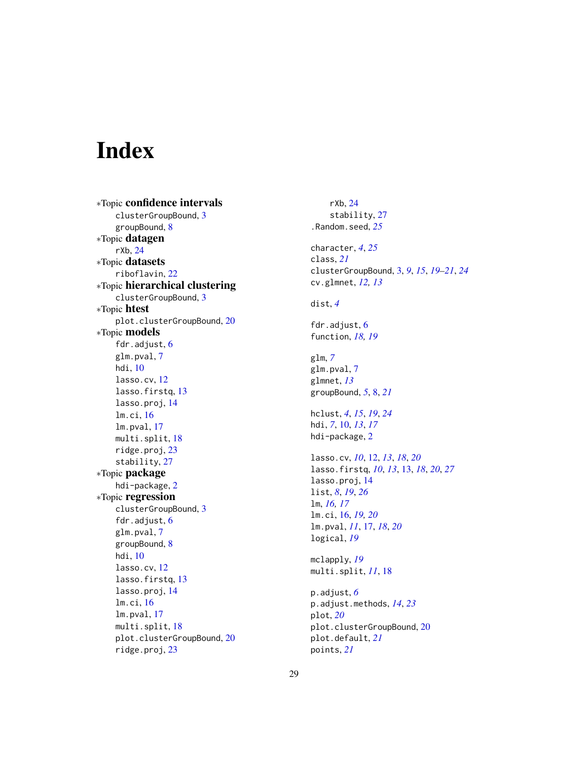# <span id="page-28-0"></span>Index

∗Topic confidence intervals clusterGroupBound, [3](#page-2-0) groupBound, [8](#page-7-0) ∗Topic datagen rXb, [24](#page-23-0) ∗Topic datasets riboflavin, [22](#page-21-0) ∗Topic hierarchical clustering clusterGroupBound, [3](#page-2-0) ∗Topic htest plot.clusterGroupBound, [20](#page-19-0) ∗Topic models fdr.adjust, [6](#page-5-0) glm.pval, [7](#page-6-0) hdi, [10](#page-9-0) lasso.cv, [12](#page-11-0) lasso.firstq, [13](#page-12-0) lasso.proj, [14](#page-13-0) lm.ci, [16](#page-15-0) lm.pval, [17](#page-16-0) multi.split, [18](#page-17-0) ridge.proj, [23](#page-22-0) stability, [27](#page-26-0) ∗Topic package hdi-package, [2](#page-1-0) ∗Topic regression clusterGroupBound, [3](#page-2-0) fdr.adjust, [6](#page-5-0) glm.pval, [7](#page-6-0) groupBound, [8](#page-7-0) hdi, [10](#page-9-0) lasso.cv, [12](#page-11-0) lasso.firstq, [13](#page-12-0) lasso.proj, [14](#page-13-0) lm.ci, [16](#page-15-0) lm.pval, [17](#page-16-0) multi.split, [18](#page-17-0) plot.clusterGroupBound, [20](#page-19-0) ridge.proj, [23](#page-22-0)

rXb, [24](#page-23-0) stability, [27](#page-26-0) .Random.seed, *[25](#page-24-0)* character, *[4](#page-3-0)*, *[25](#page-24-0)* class, *[21](#page-20-0)* clusterGroupBound, [3,](#page-2-0) *[9](#page-8-0)*, *[15](#page-14-0)*, *[19](#page-18-0)[–21](#page-20-0)*, *[24](#page-23-0)* cv.glmnet, *[12,](#page-11-0) [13](#page-12-0)* dist, *[4](#page-3-0)* fdr.adjust, [6](#page-5-0) function, *[18,](#page-17-0) [19](#page-18-0)* glm, *[7](#page-6-0)* glm.pval, [7](#page-6-0) glmnet, *[13](#page-12-0)* groupBound, *[5](#page-4-0)*, [8,](#page-7-0) *[21](#page-20-0)* hclust, *[4](#page-3-0)*, *[15](#page-14-0)*, *[19](#page-18-0)*, *[24](#page-23-0)* hdi, *[7](#page-6-0)*, [10,](#page-9-0) *[13](#page-12-0)*, *[17](#page-16-0)* hdi-package, [2](#page-1-0) lasso.cv, *[10](#page-9-0)*, [12,](#page-11-0) *[13](#page-12-0)*, *[18](#page-17-0)*, *[20](#page-19-0)* lasso.firstq, *[10](#page-9-0)*, *[13](#page-12-0)*, [13,](#page-12-0) *[18](#page-17-0)*, *[20](#page-19-0)*, *[27](#page-26-0)* lasso.proj, [14](#page-13-0) list, *[8](#page-7-0)*, *[19](#page-18-0)*, *[26](#page-25-0)* lm, *[16,](#page-15-0) [17](#page-16-0)* lm.ci, [16,](#page-15-0) *[19,](#page-18-0) [20](#page-19-0)* lm.pval, *[11](#page-10-0)*, [17,](#page-16-0) *[18](#page-17-0)*, *[20](#page-19-0)* logical, *[19](#page-18-0)* mclapply, *[19](#page-18-0)* multi.split, *[11](#page-10-0)*, [18](#page-17-0) p.adjust, *[6](#page-5-0)* p.adjust.methods, *[14](#page-13-0)*, *[23](#page-22-0)* plot, *[20](#page-19-0)* plot.clusterGroupBound, [20](#page-19-0) plot.default, *[21](#page-20-0)* points, *[21](#page-20-0)*